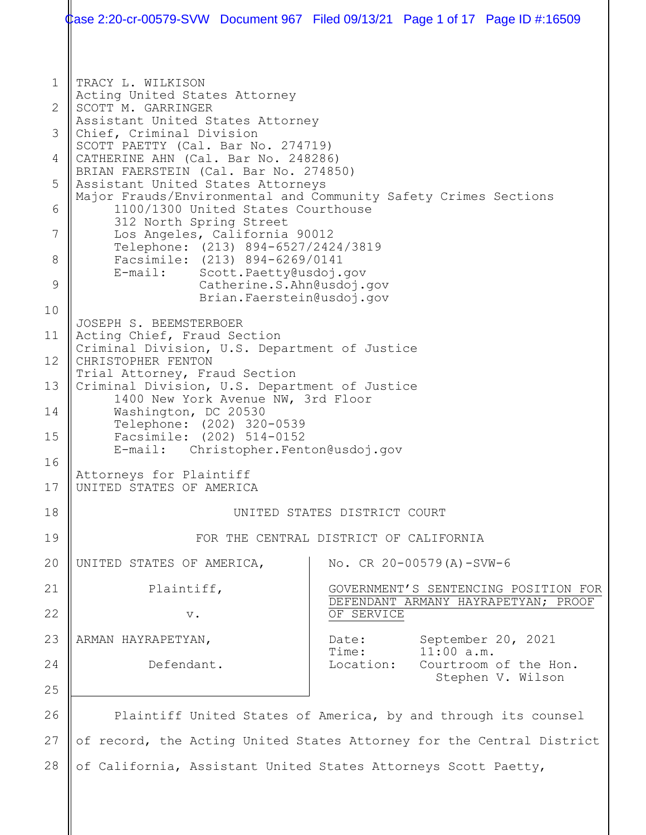1 2 3 4 5 6 7 8 9 10 11 12 13 14 15 16 17 18 19 20 21 22 23 24 25 26 27 28 TRACY L. WILKISON Acting United States Attorney SCOTT M. GARRINGER Assistant United States Attorney Chief, Criminal Division SCOTT PAETTY (Cal. Bar No. 274719) CATHERINE AHN (Cal. Bar No. 248286) BRIAN FAERSTEIN (Cal. Bar No. 274850) Assistant United States Attorneys Major Frauds/Environmental and Community Safety Crimes Sections 1100/1300 United States Courthouse 312 North Spring Street Los Angeles, California 90012 Telephone: (213) 894-6527/2424/3819 Facsimile: (213) 894-6269/0141<br>E-mail: Scott.Paetty@usdoi. Scott. Paetty@usdoj.gov Catherine.S.Ahn@usdoj.gov Brian.Faerstein@usdoj.gov JOSEPH S. BEEMSTERBOER Acting Chief, Fraud Section Criminal Division, U.S. Department of Justice CHRISTOPHER FENTON Trial Attorney, Fraud Section Criminal Division, U.S. Department of Justice 1400 New York Avenue NW, 3rd Floor Washington, DC 20530 Telephone: (202) 320-0539 Facsimile: (202) 514-0152<br>E-mail: Christopher.Fent Christopher.Fenton@usdoj.gov Attorneys for Plaintiff UNITED STATES OF AMERICA UNITED STATES DISTRICT COURT FOR THE CENTRAL DISTRICT OF CALIFORNIA UNITED STATES OF AMERICA, Plaintiff, v. ARMAN HAYRAPETYAN, Defendant. No. CR 20-00579(A)-SVW-6 GOVERNMENT'S SENTENCING POSITION FOR DEFENDANT ARMANY HAYRAPETYAN; PROOF OF SERVICE Date: September 20, 2021<br>Time: 11:00 a.m. Time: 11:00 a.m.<br>Location: Courtroom Courtroom of the Hon. Stephen V. Wilson Plaintiff United States of America, by and through its counsel of record, the Acting United States Attorney for the Central District of California, Assistant United States Attorneys Scott Paetty, Case 2:20-cr-00579-SVW Document 967 Filed 09/13/21 Page 1 of 17 Page ID #:16509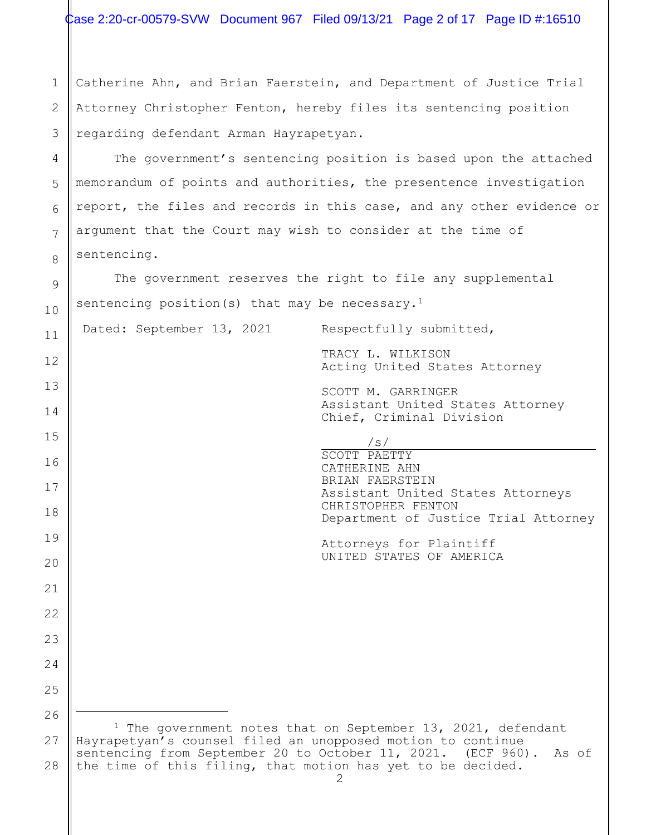| Case 2:20-cr-00579-SVW Document 967 Filed 09/13/21 Page 2 of 17 Page ID #:16510 |  |  |  |  |
|---------------------------------------------------------------------------------|--|--|--|--|
|---------------------------------------------------------------------------------|--|--|--|--|

1 2 3 Catherine Ahn, and Brian Faerstein, and Department of Justice Trial Attorney Christopher Fenton, hereby files its sentencing position regarding defendant Arman Hayrapetyan.

4

5

6

7

8

9

10

11

12

13

14

15

16

17

18

19

 $20$ 

21

22

23

24

25

26

The government's sentencing position is based upon the attached memorandum of points and authorities, the presentence investigation report, the files and records in this case, and any other evidence or argument that the Court may wish to consider at the time of sentencing.

The government reserves the right to file any supplemental sentencing position(s) that may be necessary.<sup>1</sup>

Dated: September 13, 2021 Respectfully submitted,

TRACY L. WILKISON Acting United States Attorney

SCOTT M. GARRINGER Assistant United States Attorney Chief, Criminal Division

 /s/ SCOTT PAETTY CATHERINE AHN BRIAN FAERSTEIN Assistant United States Attorneys CHRISTOPHER FENTON Department of Justice Trial Attorney

Attorneys for Plaintiff UNITED STATES OF AMERICA

<span id="page-1-0"></span>27 28 <sup>1</sup> The government notes that on September 13, 2021, defendant Hayrapetyan's counsel filed an unopposed motion to continue sentencing from September 20 to October 11, 2021. (ECF 960). As of the time of this filing, that motion has yet to be decided.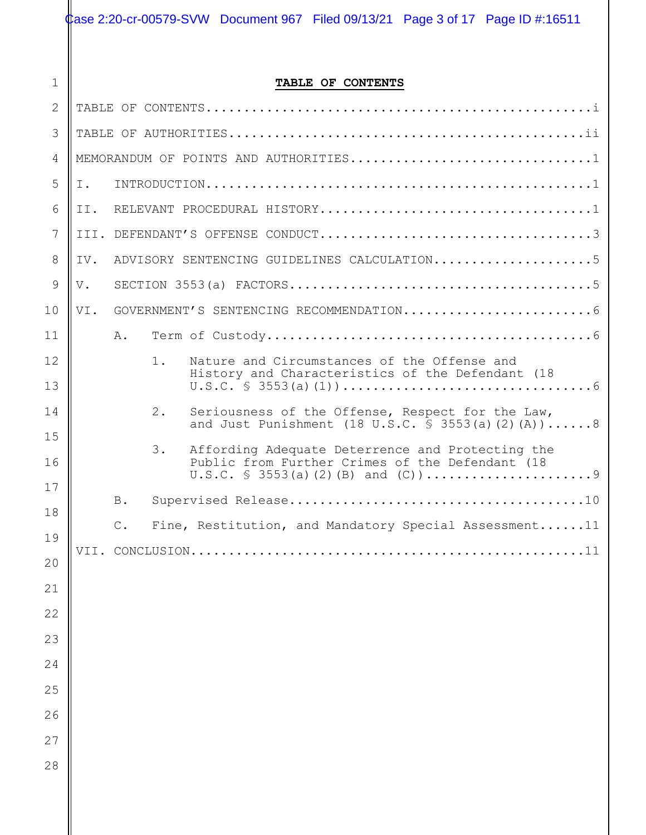Case 2:20-cr-00579-SVW Document 967 Filed 09/13/21 Page 3 of 17 Page ID #:16511

1

### **TABLE OF CONTENTS**

| $\mathbf{1}$   | TABLE OF CONTENTS |            |                 |                                                                                                      |  |
|----------------|-------------------|------------|-----------------|------------------------------------------------------------------------------------------------------|--|
| 2              |                   |            |                 |                                                                                                      |  |
| 3              |                   |            |                 |                                                                                                      |  |
| $\overline{4}$ |                   |            |                 | MEMORANDUM OF POINTS AND AUTHORITIES1                                                                |  |
| 5              | Ι.                |            |                 |                                                                                                      |  |
| 6              | II.               |            |                 |                                                                                                      |  |
| 7              |                   |            |                 |                                                                                                      |  |
| 8              | IV.               |            |                 | ADVISORY SENTENCING GUIDELINES CALCULATION5                                                          |  |
| 9              | V.                |            |                 |                                                                                                      |  |
| 10             | VI.               |            |                 |                                                                                                      |  |
| 11             |                   | Α.         |                 |                                                                                                      |  |
| 12             |                   |            | $1$ .           | Nature and Circumstances of the Offense and<br>History and Characteristics of the Defendant (18      |  |
| 13             |                   |            |                 |                                                                                                      |  |
| 14             |                   |            | 2.              | Seriousness of the Offense, Respect for the Law,<br>and Just Punishment (18 U.S.C. § 3553(a)(2)(A))8 |  |
| 15             |                   |            | 3.              | Affording Adequate Deterrence and Protecting the                                                     |  |
| 16             |                   |            |                 | Public from Further Crimes of the Defendant (18                                                      |  |
| 17             |                   | <b>B</b> . |                 |                                                                                                      |  |
| 18             |                   | $C$ .      |                 | Fine, Restitution, and Mandatory Special Assessment11                                                |  |
| 19             |                   |            | VII. CONCLUSION | 11                                                                                                   |  |
| 20             |                   |            |                 |                                                                                                      |  |
| 21<br>22       |                   |            |                 |                                                                                                      |  |
| 23             |                   |            |                 |                                                                                                      |  |
| 24             |                   |            |                 |                                                                                                      |  |
| 25             |                   |            |                 |                                                                                                      |  |
| 26             |                   |            |                 |                                                                                                      |  |
| 27             |                   |            |                 |                                                                                                      |  |
| 28             |                   |            |                 |                                                                                                      |  |
|                |                   |            |                 |                                                                                                      |  |
|                |                   |            |                 |                                                                                                      |  |
|                |                   |            |                 |                                                                                                      |  |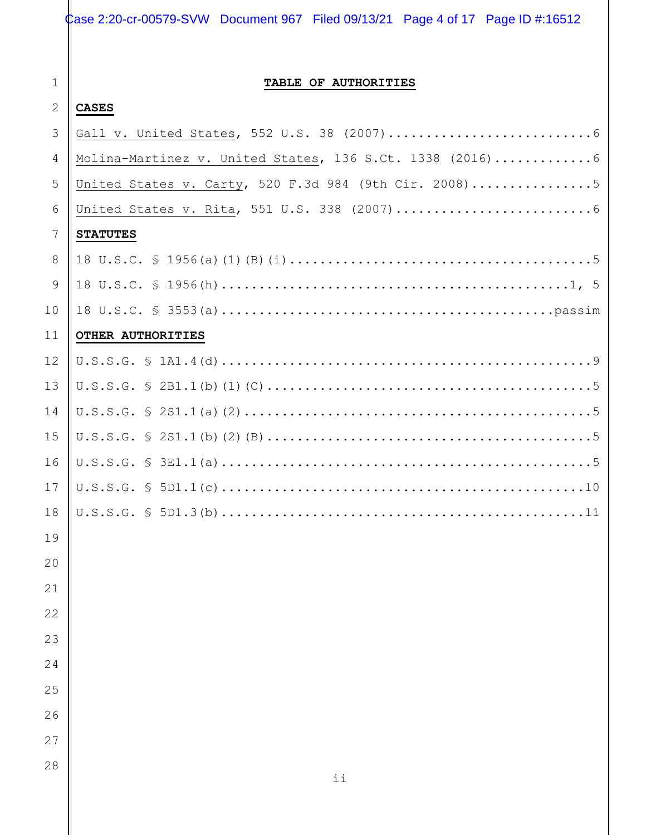# Case 2:20-cr-00579-SVW Document 967 Filed 09/13/21 Page 4 of 17 Page ID #:16512

1

# **TABLE OF AUTHORITIES**

#### 2 **CASES**

| 3              |                                                           |
|----------------|-----------------------------------------------------------|
| 4              | Molina-Martinez v. United States, 136 S.Ct. 1338 (2016) 6 |
| 5              | United States v. Carty, 520 F.3d 984 (9th Cir. 2008)5     |
| 6              |                                                           |
| 7              | <b>STATUTES</b>                                           |
| 8              |                                                           |
| $\overline{9}$ |                                                           |
| 10             |                                                           |
| 11             | OTHER AUTHORITIES                                         |
| 12             |                                                           |
| 13             |                                                           |
| 14             |                                                           |
| 15             |                                                           |
| 16             |                                                           |
| 17             |                                                           |
| 18             |                                                           |
| 19             |                                                           |
| 20             |                                                           |
| 21             |                                                           |
| 22             |                                                           |
| 23             |                                                           |
| 24             |                                                           |
| 25             |                                                           |
| 26             |                                                           |
| 27             |                                                           |
| 28             | ii                                                        |
|                |                                                           |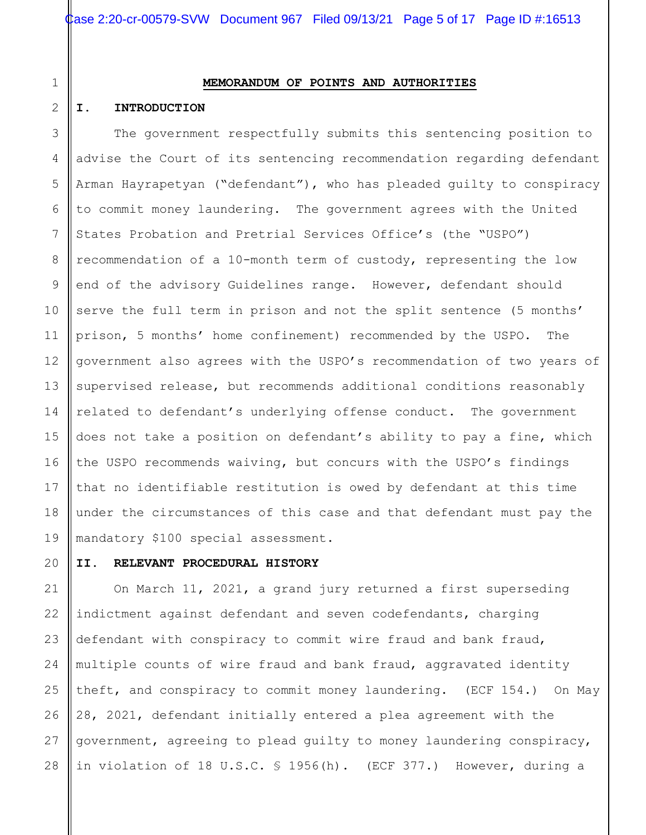# 1 2

## **MEMORANDUM OF POINTS AND AUTHORITIES**

#### **I. INTRODUCTION**

3 4 The government respectfully submits this sentencing position to advise the Court of its sentencing recommendation regarding defendant Arman Hayrapetyan ("defendant"), who has pleaded guilty to conspiracy to commit money laundering. The government agrees with the United States Probation and Pretrial Services Office's (the "USPO") recommendation of a 10-month term of custody, representing the low end of the advisory Guidelines range. However, defendant should serve the full term in prison and not the split sentence (5 months' prison, 5 months' home confinement) recommended by the USPO. The government also agrees with the USPO's recommendation of two years of supervised release, but recommends additional conditions reasonably related to defendant's underlying offense conduct. The government does not take a position on defendant's ability to pay a fine, which the USPO recommends waiving, but concurs with the USPO's findings that no identifiable restitution is owed by defendant at this time under the circumstances of this case and that defendant must pay the mandatory \$100 special assessment.

### **II. RELEVANT PROCEDURAL HISTORY**

23 24 25 26 27 28 On March 11, 2021, a grand jury returned a first superseding indictment against defendant and seven codefendants, charging defendant with conspiracy to commit wire fraud and bank fraud, multiple counts of wire fraud and bank fraud, aggravated identity theft, and conspiracy to commit money laundering. (ECF 154.) On May 28, 2021, defendant initially entered a plea agreement with the government, agreeing to plead guilty to money laundering conspiracy, in violation of 18 U.S.C. § 1956(h). (ECF 377.) However, during a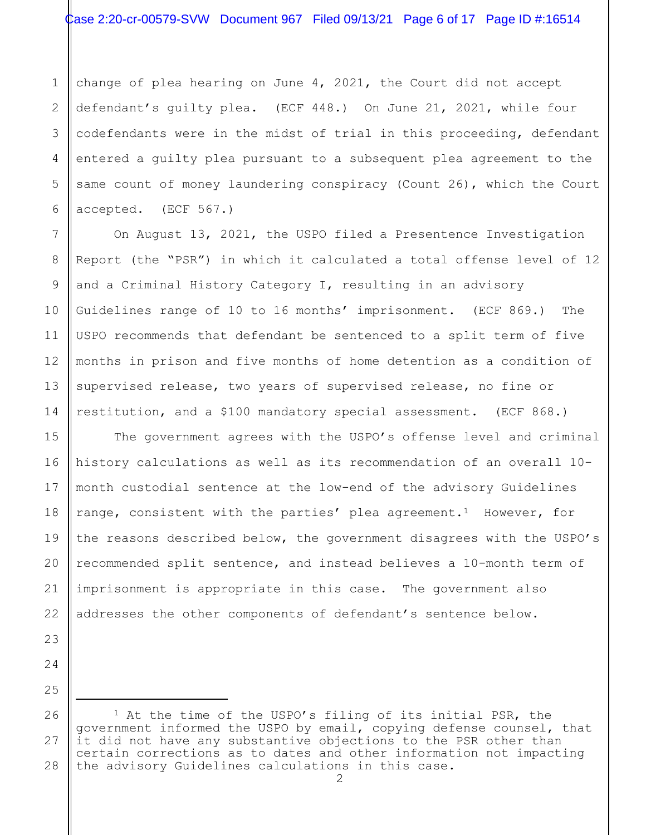1 2 3 4 5 6 change of plea hearing on June 4, 2021, the Court did not accept defendant's guilty plea. (ECF 448.) On June 21, 2021, while four codefendants were in the midst of trial in this proceeding, defendant entered a guilty plea pursuant to a subsequent plea agreement to the same count of money laundering conspiracy (Count 26), which the Court accepted. (ECF 567.)

On August 13, 2021, the USPO filed a Presentence Investigation Report (the "PSR") in which it calculated a total offense level of 12 and a Criminal History Category I, resulting in an advisory Guidelines range of 10 to 16 months' imprisonment. (ECF 869.) The USPO recommends that defendant be sentenced to a split term of five months in prison and five months of home detention as a condition of supervised release, two years of supervised release, no fine or restitution, and a \$100 mandatory special assessment. (ECF 868.)

The government agrees with the USPO's offense level and criminal history calculations as well as its recommendation of an overall 10 month custodial sentence at the low-end of the advisory Guidelines range, consistent with the parties' plea agreement.<sup>[1](#page-5-0)</sup> However, for the reasons described below, the government disagrees with the USPO's recommended split sentence, and instead believes a 10-month term of imprisonment is appropriate in this case. The government also addresses the other components of defendant's sentence below.

28

7

8

9

10

11

12

13

14

15

<span id="page-5-0"></span><sup>1</sup> At the time of the USPO's filing of its initial PSR, the government informed the USPO by email, copying defense counsel, that it did not have any substantive objections to the PSR other than certain corrections as to dates and other information not impacting the advisory Guidelines calculations in this case.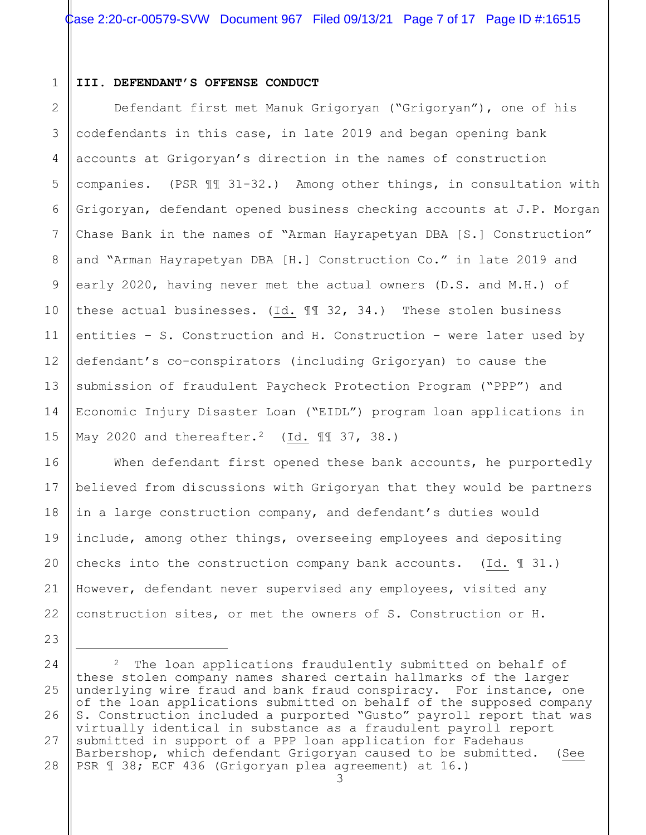#### 1 **III. DEFENDANT'S OFFENSE CONDUCT**

23

2 3 4 5 6 7 8 9 10 11 12 13 14 15 Defendant first met Manuk Grigoryan ("Grigoryan"), one of his codefendants in this case, in late 2019 and began opening bank accounts at Grigoryan's direction in the names of construction companies. (PSR ¶¶ 31-32.) Among other things, in consultation with Grigoryan, defendant opened business checking accounts at J.P. Morgan Chase Bank in the names of "Arman Hayrapetyan DBA [S.] Construction" and "Arman Hayrapetyan DBA [H.] Construction Co." in late 2019 and early 2020, having never met the actual owners (D.S. and M.H.) of these actual businesses. (Id. ¶¶ 32, 34.) These stolen business entities – S. Construction and H. Construction – were later used by defendant's co-conspirators (including Grigoryan) to cause the submission of fraudulent Paycheck Protection Program ("PPP") and Economic Injury Disaster Loan ("EIDL") program loan applications in May [2](#page-6-0)020 and thereafter.<sup>2</sup> (Id.  $\mathbb{I}$  37, 38.)

16 17 18 19 20 21 22 When defendant first opened these bank accounts, he purportedly believed from discussions with Grigoryan that they would be partners in a large construction company, and defendant's duties would include, among other things, overseeing employees and depositing checks into the construction company bank accounts. (Id.  $\mathbb{I}$  31.) However, defendant never supervised any employees, visited any construction sites, or met the owners of S. Construction or H.

<span id="page-6-0"></span><sup>24</sup> 25 26 27 28 2 The loan applications fraudulently submitted on behalf of these stolen company names shared certain hallmarks of the larger underlying wire fraud and bank fraud conspiracy. For instance, one of the loan applications submitted on behalf of the supposed company S. Construction included a purported "Gusto" payroll report that was virtually identical in substance as a fraudulent payroll report submitted in support of a PPP loan application for Fadehaus Barbershop, which defendant Grigoryan caused to be submitted. (See PSR ¶ 38; ECF 436 (Grigoryan plea agreement) at 16.)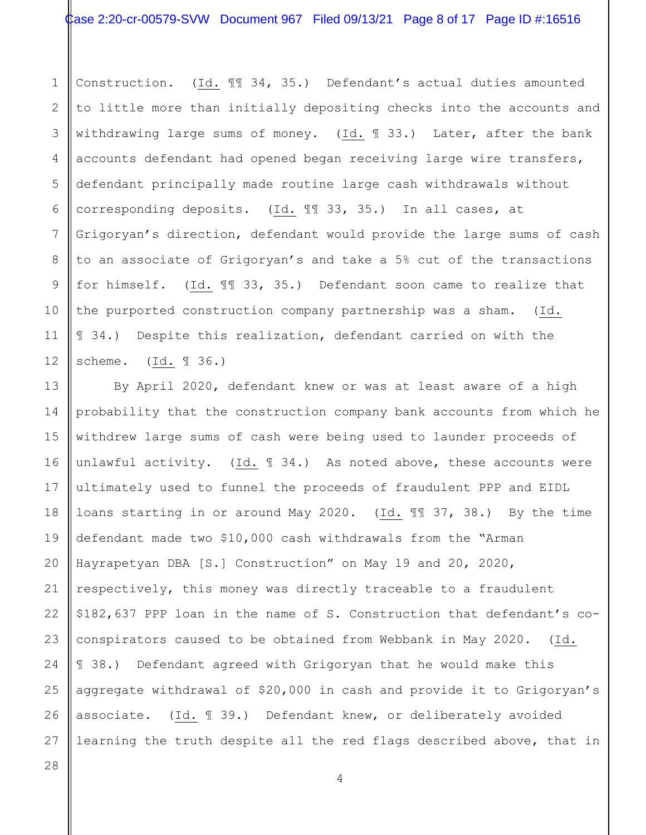1 2 3 4 5 6 7 8 9 10 11 12 Construction. (Id. ¶¶ 34, 35.) Defendant's actual duties amounted to little more than initially depositing checks into the accounts and withdrawing large sums of money. (Id. 133.) Later, after the bank accounts defendant had opened began receiving large wire transfers, defendant principally made routine large cash withdrawals without corresponding deposits. (Id. ¶¶ 33, 35.) In all cases, at Grigoryan's direction, defendant would provide the large sums of cash to an associate of Grigoryan's and take a 5% cut of the transactions for himself. (Id. ¶¶ 33, 35.) Defendant soon came to realize that the purported construction company partnership was a sham. (Id. ¶ 34.) Despite this realization, defendant carried on with the scheme. (Id. ¶ 36.)

13 14 15 16 17 18 19 20 21 22 23 24 25 26 27 By April 2020, defendant knew or was at least aware of a high probability that the construction company bank accounts from which he withdrew large sums of cash were being used to launder proceeds of unlawful activity. (Id. ¶ 34.) As noted above, these accounts were ultimately used to funnel the proceeds of fraudulent PPP and EIDL loans starting in or around May 2020. (Id. ¶¶ 37, 38.) By the time defendant made two \$10,000 cash withdrawals from the "Arman Hayrapetyan DBA [S.] Construction" on May 19 and 20, 2020, respectively, this money was directly traceable to a fraudulent \$182,637 PPP loan in the name of S. Construction that defendant's coconspirators caused to be obtained from Webbank in May 2020. (Id. ¶ 38.) Defendant agreed with Grigoryan that he would make this aggregate withdrawal of \$20,000 in cash and provide it to Grigoryan's associate. (Id. ¶ 39.) Defendant knew, or deliberately avoided learning the truth despite all the red flags described above, that in

4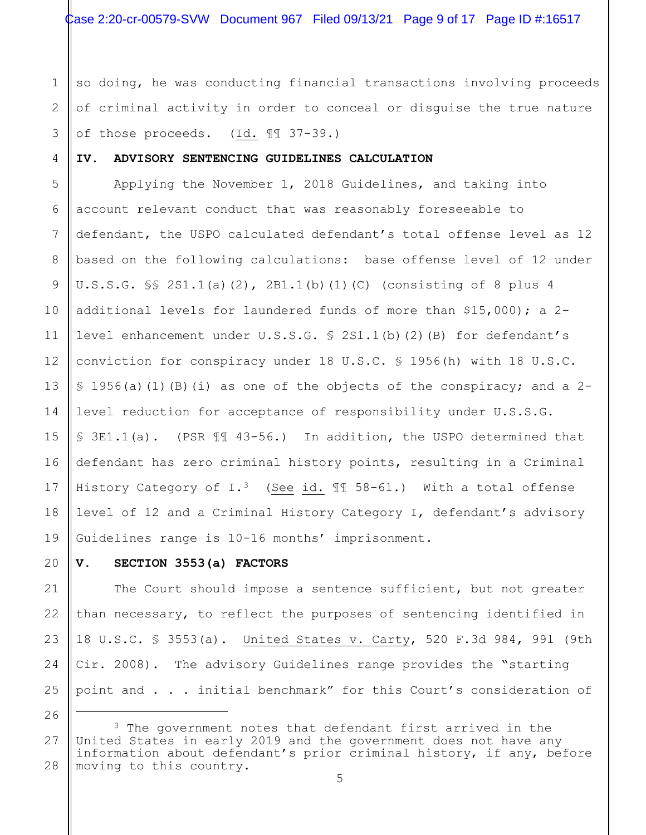so doing, he was conducting financial transactions involving proceeds of criminal activity in order to conceal or disguise the true nature of those proceeds. (Id. ¶¶ 37-39.)

#### **IV. ADVISORY SENTENCING GUIDELINES CALCULATION**

1

2

3

4

20

21

22

23

24

25

26

5 6 7 8 9 10 11 12 13 14 15 16 17 18 19 Applying the November 1, 2018 Guidelines, and taking into account relevant conduct that was reasonably foreseeable to defendant, the USPO calculated defendant's total offense level as 12 based on the following calculations: base offense level of 12 under U.S.S.G. §§ 2S1.1(a)(2), 2B1.1(b)(1)(C) (consisting of 8 plus 4 additional levels for laundered funds of more than  $$15,000$ ; a 2level enhancement under U.S.S.G. § 2S1.1(b)(2)(B) for defendant's conviction for conspiracy under 18 U.S.C. § 1956(h) with 18 U.S.C.  $\S$  1956(a)(1)(B)(i) as one of the objects of the conspiracy; and a 2level reduction for acceptance of responsibility under U.S.S.G. § 3E1.1(a). (PSR ¶¶ 43-56.) In addition, the USPO determined that defendant has zero criminal history points, resulting in a Criminal History Category of I.<sup>3</sup> (See id.  $\mathbb{II}$  58-61.) With a total offense level of 12 and a Criminal History Category I, defendant's advisory Guidelines range is 10-16 months' imprisonment.

### **V. SECTION 3553(a) FACTORS**

The Court should impose a sentence sufficient, but not greater than necessary, to reflect the purposes of sentencing identified in 18 U.S.C. § 3553(a). United States v. Carty, 520 F.3d 984, 991 (9th Cir. 2008). The advisory Guidelines range provides the "starting point and . . . initial benchmark" for this Court's consideration of

<span id="page-8-0"></span><sup>27</sup> 28 <sup>3</sup> The government notes that defendant first arrived in the United States in early 2019 and the government does not have any information about defendant's prior criminal history, if any, before moving to this country.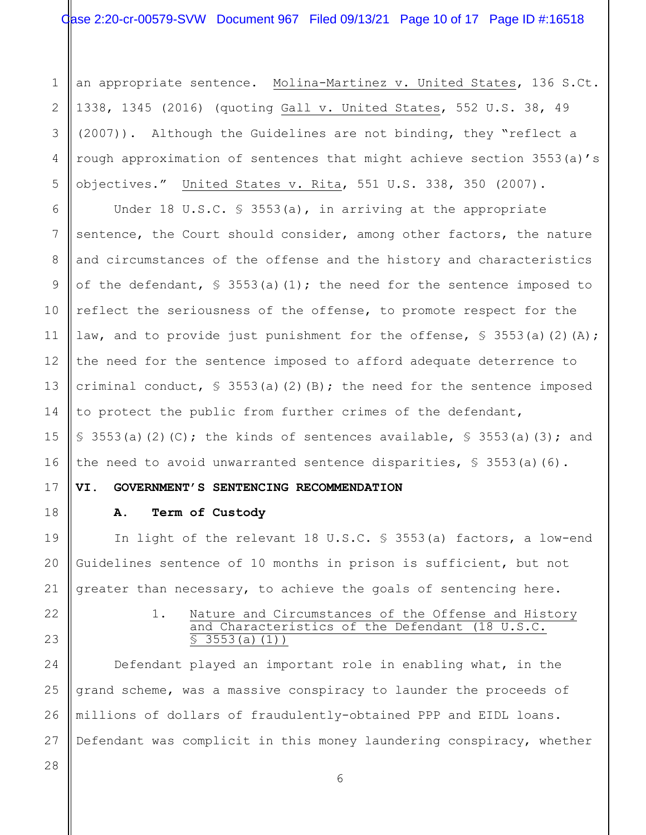1 2 3 4 5 an appropriate sentence. Molina-Martinez v. United States, 136 S.Ct. 1338, 1345 (2016) (quoting Gall v. United States, 552 U.S. 38, 49 (2007)). Although the Guidelines are not binding, they "reflect a rough approximation of sentences that might achieve section 3553(a)'s objectives." United States v. Rita, 551 U.S. 338, 350 (2007).

6 7 8 9 10 11 12 13 14 15 16 Under 18 U.S.C. § 3553(a), in arriving at the appropriate sentence, the Court should consider, among other factors, the nature and circumstances of the offense and the history and characteristics of the defendant,  $\S$  3553(a)(1); the need for the sentence imposed to reflect the seriousness of the offense, to promote respect for the law, and to provide just punishment for the offense,  $\frac{1}{5}$  3553(a)(2)(A); the need for the sentence imposed to afford adequate deterrence to criminal conduct,  $\frac{1}{5}$  3553(a)(2)(B); the need for the sentence imposed to protect the public from further crimes of the defendant, § 3553(a)(2)(C); the kinds of sentences available, § 3553(a)(3); and the need to avoid unwarranted sentence disparities, § 3553(a)(6).

**VI. GOVERNMENT'S SENTENCING RECOMMENDATION** 

#### **A. Term of Custody**

In light of the relevant 18 U.S.C. § 3553(a) factors, a low-end Guidelines sentence of 10 months in prison is sufficient, but not greater than necessary, to achieve the goals of sentencing here.

22

17

18

19

20

21

23

#### 1. Nature and Circumstances of the Offense and History and Characteristics of the Defendant (18 U.S.C.  $\overline{S}$  3553(a)(1))

24 25 26 27 Defendant played an important role in enabling what, in the grand scheme, was a massive conspiracy to launder the proceeds of millions of dollars of fraudulently-obtained PPP and EIDL loans. Defendant was complicit in this money laundering conspiracy, whether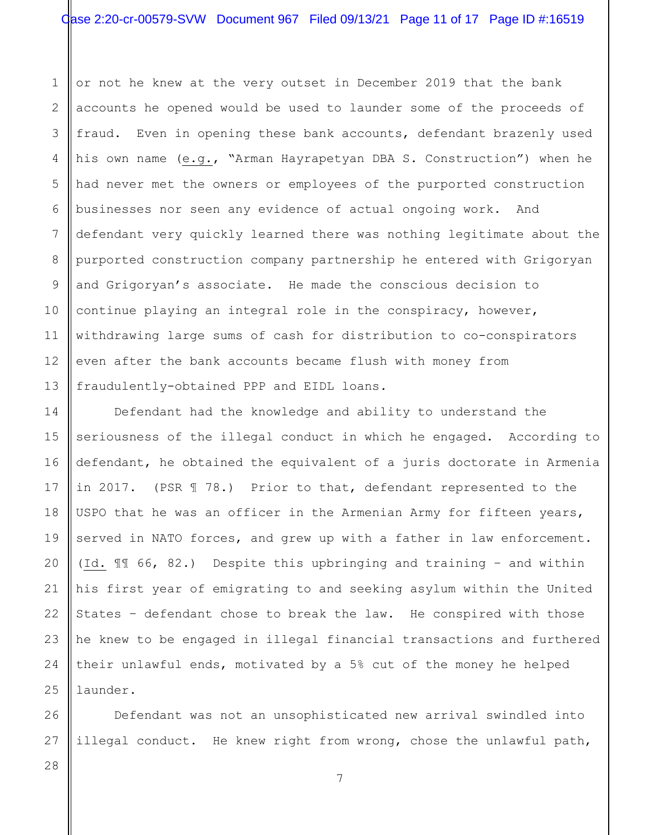1 2 3 4 5 6 7 8 9 10 11 12 13 or not he knew at the very outset in December 2019 that the bank accounts he opened would be used to launder some of the proceeds of fraud. Even in opening these bank accounts, defendant brazenly used his own name (e.g., "Arman Hayrapetyan DBA S. Construction") when he had never met the owners or employees of the purported construction businesses nor seen any evidence of actual ongoing work. And defendant very quickly learned there was nothing legitimate about the purported construction company partnership he entered with Grigoryan and Grigoryan's associate. He made the conscious decision to continue playing an integral role in the conspiracy, however, withdrawing large sums of cash for distribution to co-conspirators even after the bank accounts became flush with money from fraudulently-obtained PPP and EIDL loans.

14 15 16 17 18 19 20 21 22 23 24 25 Defendant had the knowledge and ability to understand the seriousness of the illegal conduct in which he engaged. According to defendant, he obtained the equivalent of a juris doctorate in Armenia in 2017. (PSR  $\text{\ensuremath{\mathbb{I}}}$  78.) Prior to that, defendant represented to the USPO that he was an officer in the Armenian Army for fifteen years, served in NATO forces, and grew up with a father in law enforcement. (Id. ¶¶ 66, 82.) Despite this upbringing and training – and within his first year of emigrating to and seeking asylum within the United States – defendant chose to break the law. He conspired with those he knew to be engaged in illegal financial transactions and furthered their unlawful ends, motivated by a 5% cut of the money he helped launder.

Defendant was not an unsophisticated new arrival swindled into illegal conduct. He knew right from wrong, chose the unlawful path,

28

26

27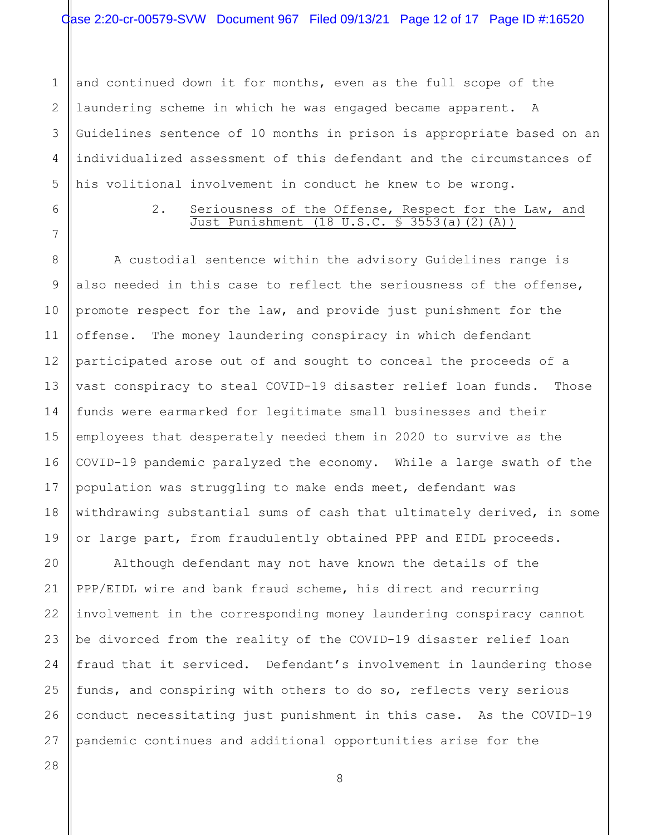1 2 3 4 5 and continued down it for months, even as the full scope of the laundering scheme in which he was engaged became apparent. A Guidelines sentence of 10 months in prison is appropriate based on an individualized assessment of this defendant and the circumstances of his volitional involvement in conduct he knew to be wrong.

6

7

8

9

10

11

12

13

14

15

16

17

18

19

20

21

22

24

25

26

#### 2. Seriousness of the Offense, Respect for the Law, and Just Punishment (18 U.S.C. § 3553(a)(2)(A))

A custodial sentence within the advisory Guidelines range is also needed in this case to reflect the seriousness of the offense, promote respect for the law, and provide just punishment for the offense. The money laundering conspiracy in which defendant participated arose out of and sought to conceal the proceeds of a vast conspiracy to steal COVID-19 disaster relief loan funds. Those funds were earmarked for legitimate small businesses and their employees that desperately needed them in 2020 to survive as the COVID-19 pandemic paralyzed the economy. While a large swath of the population was struggling to make ends meet, defendant was withdrawing substantial sums of cash that ultimately derived, in some or large part, from fraudulently obtained PPP and EIDL proceeds.

23 Although defendant may not have known the details of the PPP/EIDL wire and bank fraud scheme, his direct and recurring involvement in the corresponding money laundering conspiracy cannot be divorced from the reality of the COVID-19 disaster relief loan fraud that it serviced. Defendant's involvement in laundering those funds, and conspiring with others to do so, reflects very serious conduct necessitating just punishment in this case. As the COVID-19 pandemic continues and additional opportunities arise for the

8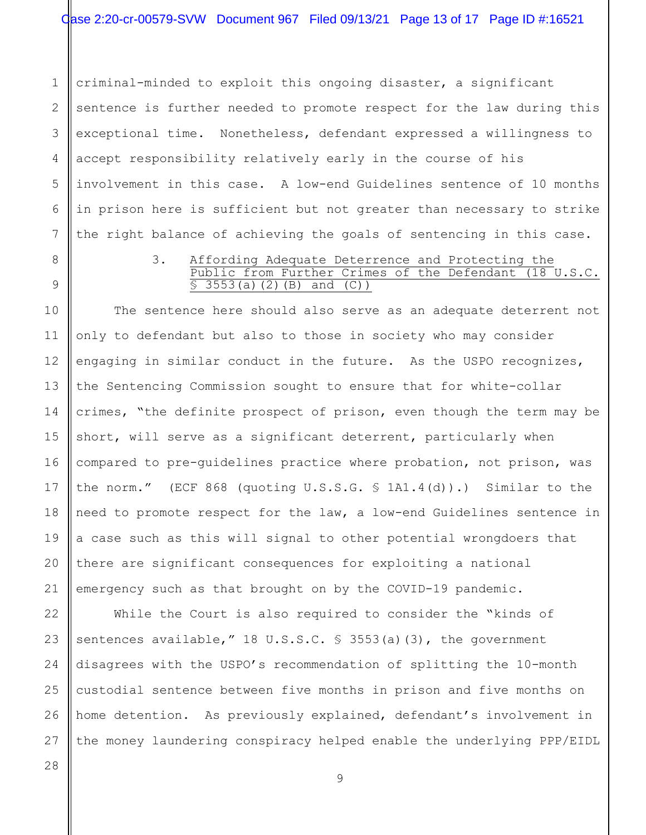1 2 3 4 5 6 7 criminal-minded to exploit this ongoing disaster, a significant sentence is further needed to promote respect for the law during this exceptional time. Nonetheless, defendant expressed a willingness to accept responsibility relatively early in the course of his involvement in this case. A low-end Guidelines sentence of 10 months in prison here is sufficient but not greater than necessary to strike the right balance of achieving the goals of sentencing in this case.

8

9

#### 3. Affording Adequate Deterrence and Protecting the Public from Further Crimes of the Defendant (18 U.S.C.  $\overline{S}$  3553(a)(2)(B) and (C))

10 11 12 13 14 15 16 17 18 19 20 21 The sentence here should also serve as an adequate deterrent not only to defendant but also to those in society who may consider engaging in similar conduct in the future. As the USPO recognizes, the Sentencing Commission sought to ensure that for white-collar crimes, "the definite prospect of prison, even though the term may be short, will serve as a significant deterrent, particularly when compared to pre-guidelines practice where probation, not prison, was the norm." (ECF 868 (quoting U.S.S.G. § 1A1.4(d)).) Similar to the need to promote respect for the law, a low-end Guidelines sentence in a case such as this will signal to other potential wrongdoers that there are significant consequences for exploiting a national emergency such as that brought on by the COVID-19 pandemic.

22 23 24 25 26 27 While the Court is also required to consider the "kinds of sentences available," 18 U.S.S.C. § 3553(a)(3), the government disagrees with the USPO's recommendation of splitting the 10-month custodial sentence between five months in prison and five months on home detention. As previously explained, defendant's involvement in the money laundering conspiracy helped enable the underlying PPP/EIDL

9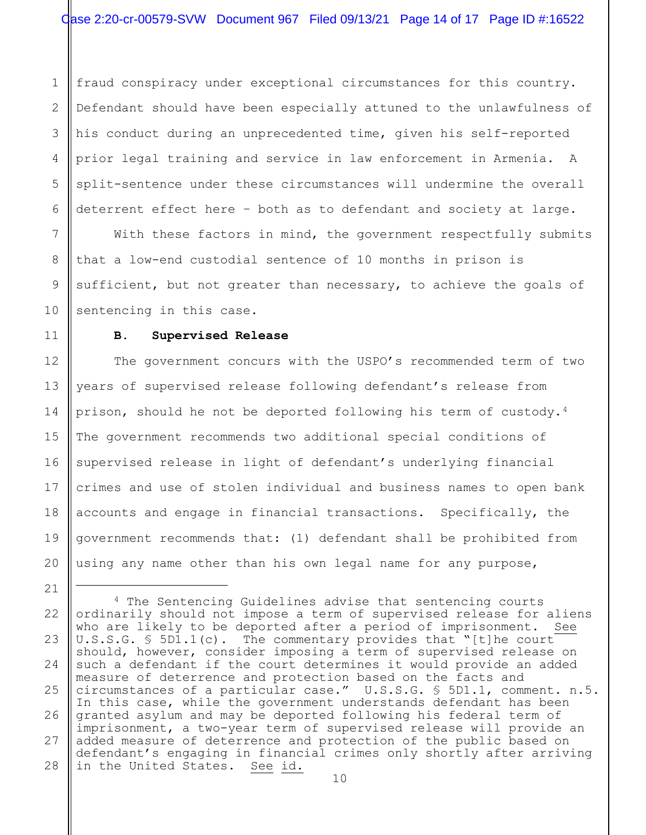1 2 3 4 5 6 fraud conspiracy under exceptional circumstances for this country. Defendant should have been especially attuned to the unlawfulness of his conduct during an unprecedented time, given his self-reported prior legal training and service in law enforcement in Armenia. A split-sentence under these circumstances will undermine the overall deterrent effect here – both as to defendant and society at large.

With these factors in mind, the government respectfully submits that a low-end custodial sentence of 10 months in prison is sufficient, but not greater than necessary, to achieve the goals of sentencing in this case.

#### **B. Supervised Release**

7

8

9

10

11

12

13

14

15

16

17

18

19

20

21

The government concurs with the USPO's recommended term of two years of supervised release following defendant's release from prison, should he not be deported following his term of custody.[4](#page-13-0) The government recommends two additional special conditions of supervised release in light of defendant's underlying financial crimes and use of stolen individual and business names to open bank accounts and engage in financial transactions. Specifically, the government recommends that: (1) defendant shall be prohibited from using any name other than his own legal name for any purpose,

<span id="page-13-0"></span><sup>22</sup> 23 24 25 26 27 28 <sup>4</sup> The Sentencing Guidelines advise that sentencing courts ordinarily should not impose a term of supervised release for aliens<br>who are likelv to be deported after a period of imprisonment. See who are likely to be deported after a period of imprisonment. U.S.S.G. § 5D1.1(c). The commentary provides that "[t]he court should, however, consider imposing a term of supervised release on such a defendant if the court determines it would provide an added measure of deterrence and protection based on the facts and circumstances of a particular case." U.S.S.G. § 5D1.1, comment. n.5. In this case, while the government understands defendant has been granted asylum and may be deported following his federal term of imprisonment, a two-year term of supervised release will provide an added measure of deterrence and protection of the public based on defendant's engaging in financial crimes only shortly after arriving<br>in the United States. See id. in the United States.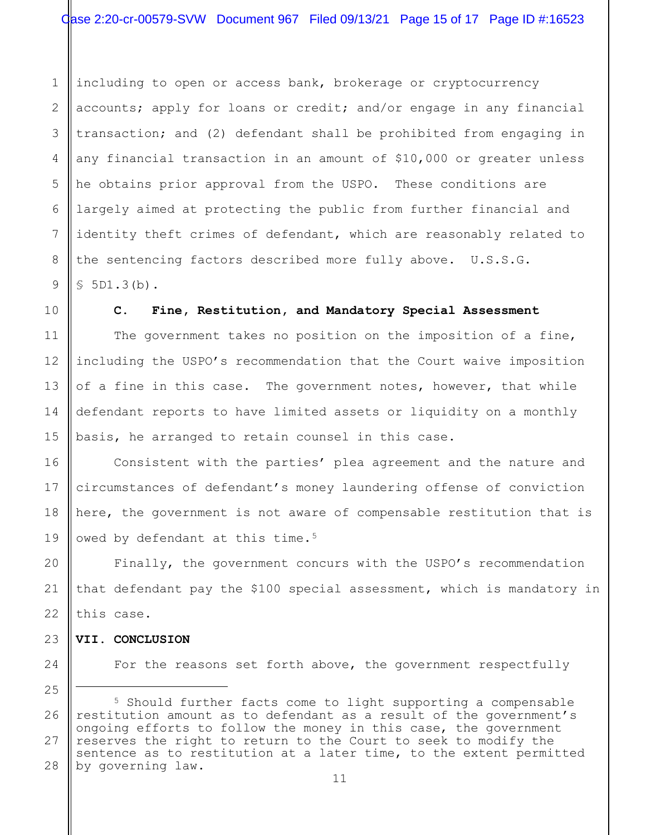1 2 3 4 5 6 7 8 9 including to open or access bank, brokerage or cryptocurrency accounts; apply for loans or credit; and/or engage in any financial transaction; and (2) defendant shall be prohibited from engaging in any financial transaction in an amount of \$10,000 or greater unless he obtains prior approval from the USPO. These conditions are largely aimed at protecting the public from further financial and identity theft crimes of defendant, which are reasonably related to the sentencing factors described more fully above. U.S.S.G. § 5D1.3(b).

**C. Fine, Restitution, and Mandatory Special Assessment**

The government takes no position on the imposition of a fine, including the USPO's recommendation that the Court waive imposition of a fine in this case. The government notes, however, that while defendant reports to have limited assets or liquidity on a monthly basis, he arranged to retain counsel in this case.

Consistent with the parties' plea agreement and the nature and circumstances of defendant's money laundering offense of conviction here, the government is not aware of compensable restitution that is owed by defendant at this time.<sup>[5](#page-14-0)</sup>

Finally, the government concurs with the USPO's recommendation that defendant pay the \$100 special assessment, which is mandatory in this case.

**VII. CONCLUSION**

For the reasons set forth above, the government respectfully

<span id="page-14-0"></span><sup>28</sup> <sup>5</sup> Should further facts come to light supporting a compensable restitution amount as to defendant as a result of the government's ongoing efforts to follow the money in this case, the government reserves the right to return to the Court to seek to modify the sentence as to restitution at a later time, to the extent permitted by governing law.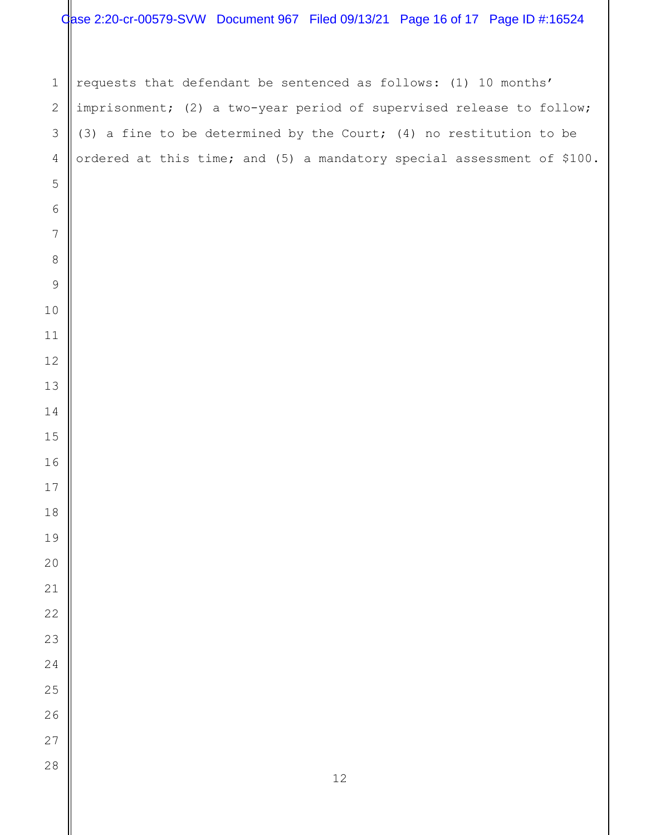# Case 2:20-cr-00579-SVW Document 967 Filed 09/13/21 Page 16 of 17 Page ID #:16524

 requests that defendant be sentenced as follows: (1) 10 months' imprisonment; (2) a two-year period of supervised release to follow; (3) a fine to be determined by the Court; (4) no restitution to be ordered at this time; and (5) a mandatory special assessment of \$100.